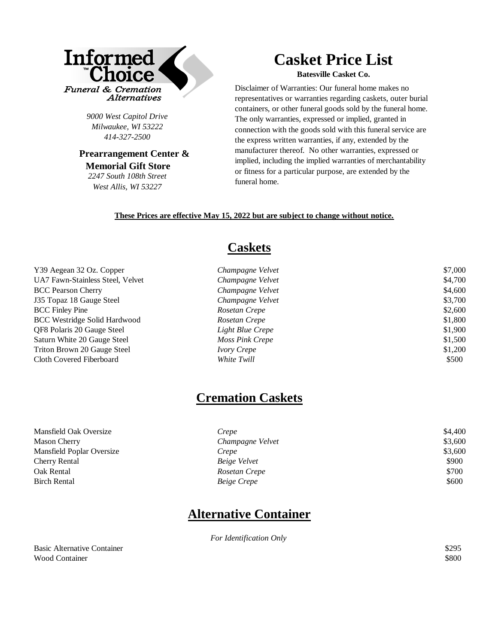

*9000 West Capitol Drive Milwaukee, WI 53222 414-327-2500* 

 **Prearrangement Center & Memorial Gift Store** *2247 South 108th Street* 

*West Allis, WI 53227*

## **Casket Price List**

**Batesville Casket Co.**

Disclaimer of Warranties: Our funeral home makes no representatives or warranties regarding caskets, outer burial containers, or other funeral goods sold by the funeral home. The only warranties, expressed or implied, granted in connection with the goods sold with this funeral service are the express written warranties, if any, extended by the manufacturer thereof. No other warranties, expressed or implied, including the implied warranties of merchantability or fitness for a particular purpose, are extended by the funeral home.

#### **These Prices are effective May 15, 2022 but are subject to change without notice.**

### **Caskets**

| Y39 Aegean 32 Oz. Copper            | Champagne Velvet   | \$7,000 |
|-------------------------------------|--------------------|---------|
| UA7 Fawn-Stainless Steel, Velvet    | Champagne Velvet   | \$4,700 |
| <b>BCC Pearson Cherry</b>           | Champagne Velvet   | \$4,600 |
| J35 Topaz 18 Gauge Steel            | Champagne Velvet   | \$3,700 |
| <b>BCC Finley Pine</b>              | Rosetan Crepe      | \$2,600 |
| <b>BCC Westridge Solid Hardwood</b> | Rosetan Crepe      | \$1,800 |
| QF8 Polaris 20 Gauge Steel          | Light Blue Crepe   | \$1,900 |
| Saturn White 20 Gauge Steel         | Moss Pink Crepe    | \$1,500 |
| Triton Brown 20 Gauge Steel         | <i>Ivory Crepe</i> | \$1,200 |
| Cloth Covered Fiberboard            | White Twill        | \$500   |

### **Cremation Caskets**

| Mansfield Oak Oversize    | Crepe              | \$4,400 |
|---------------------------|--------------------|---------|
| <b>Mason Cherry</b>       | Champagne Velvet   | \$3,600 |
| Mansfield Poplar Oversize | Crepe              | \$3,600 |
| Cherry Rental             | Beige Velvet       | \$900   |
| Oak Rental                | Rosetan Crepe      | \$700   |
| Birch Rental              | <i>Beige Crepe</i> | \$600   |
|                           |                    |         |

### **Alternative Container**

*For Identification Only*